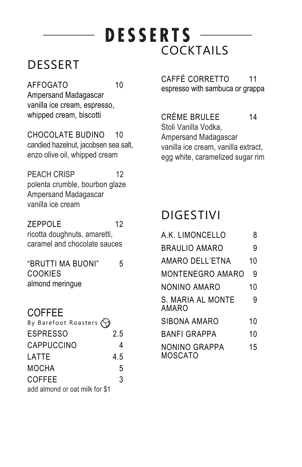# **DESSERTS** COCKTAILS

## DESSERT

AFFOGATO 10 Ampersand Madagascar vanilla ice cream, espresso, whipped cream, biscotti

CHOCOLATE BUDINO 10 candied hazelnut, jacobsen sea salt, enzo olive oil, whipped cream

PEACH CRISP 12 polenta crumble, bourbon glaze Ampersand Madagascar vanilla ice cream

ZEPPOLE 12 ricotta doughnuts, amaretti, caramel and chocolate sauces

"BRUTTI MA BUONI" 5 **COOKIES** almond meringue

### COFFEE

| By Barefoot Roasters $\bigodot$ |     |
|---------------------------------|-----|
| <b>ESPRESSO</b>                 | 2.5 |
| CAPPUCCINO                      |     |
| LATTE                           | 4.5 |
| <b>MOCHA</b>                    | 5   |
| <b>COFFEE</b>                   | 3   |
| add almond or oat milk for \$1  |     |

CAFFÉ CORRETTO 11 espresso with sambuca or grappa

CRÈME BRULEE 14 Stoli Vanilla Vodka, Ampersand Madagascar vanilla ice cream, vanilla extract, egg white, caramelized sugar rim

## DIGESTIVI

| A.K. LIMONCELLO                 | 8  |
|---------------------------------|----|
| <b>BRAULIO AMARO</b>            | 9  |
| AMARO DELL'ETNA                 | 10 |
| MONTENEGRO AMARO                | 9  |
| NONINO AMARO                    | 10 |
| S. MARIA AL MONTE<br>AMARO      | 9  |
| SIBONA AMARO                    | 10 |
| BANFI GRAPPA                    | 10 |
| <b>NONINO GRAPPA</b><br>MOSCATO | 15 |